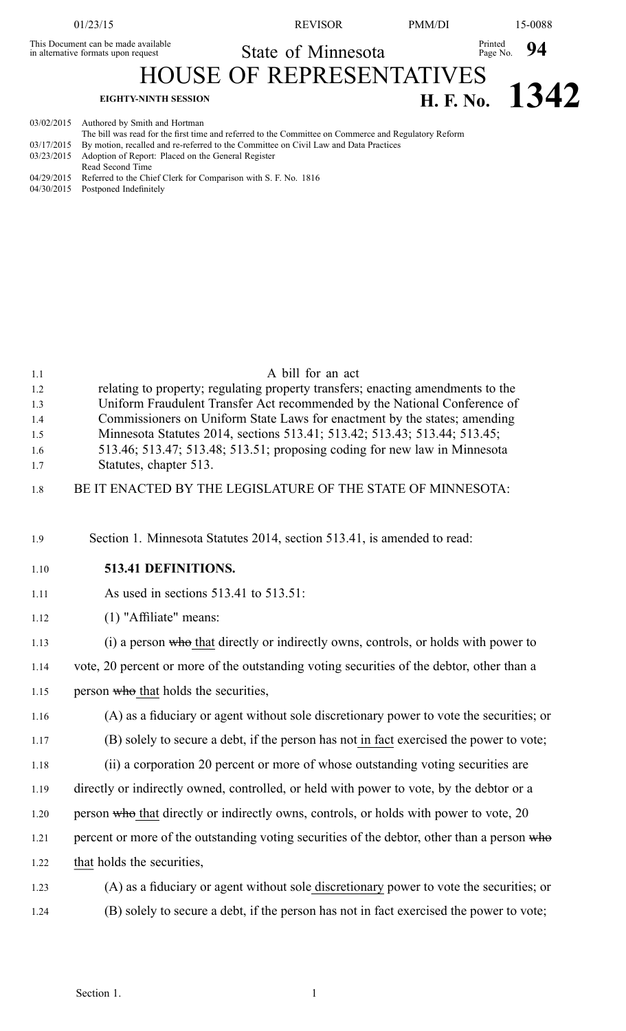This Document can be made available<br>in alternative formats upon request

01/23/15 REVISOR PMM/DI 15-0088

Printed Page No. **94**

State of Minnesota

HOUSE OF REPRESENTATIVES

## **EIGHTY-NINTH SESSION H. F. No. 1342**

03/02/2015 Authored by Smith and Hortman

| The bill was read for the first time and referred to the Committee on Commerce and Regulatory Reform |
|------------------------------------------------------------------------------------------------------|
| 03/17/2015 By motion, recalled and re-referred to the Committee on Civil Law and Data Practices      |
| 03/23/2015 Adoption of Report: Placed on the General Register                                        |
| Read Second Time                                                                                     |
| 04/29/2015 Referred to the Chief Clerk for Comparison with S. F. No. 1816                            |
| 04/30/2015 Postponed Indefinitely                                                                    |
|                                                                                                      |

| 1.1<br>1.2<br>1.3<br>1.4<br>1.5<br>1.6<br>1.7<br>1.8 | A bill for an act<br>relating to property; regulating property transfers; enacting amendments to the<br>Uniform Fraudulent Transfer Act recommended by the National Conference of<br>Commissioners on Uniform State Laws for enactment by the states; amending<br>Minnesota Statutes 2014, sections 513.41; 513.42; 513.43; 513.44; 513.45;<br>513.46; 513.47; 513.48; 513.51; proposing coding for new law in Minnesota<br>Statutes, chapter 513.<br>BE IT ENACTED BY THE LEGISLATURE OF THE STATE OF MINNESOTA: |
|------------------------------------------------------|-------------------------------------------------------------------------------------------------------------------------------------------------------------------------------------------------------------------------------------------------------------------------------------------------------------------------------------------------------------------------------------------------------------------------------------------------------------------------------------------------------------------|
|                                                      |                                                                                                                                                                                                                                                                                                                                                                                                                                                                                                                   |
| 1.9                                                  | Section 1. Minnesota Statutes 2014, section 513.41, is amended to read:                                                                                                                                                                                                                                                                                                                                                                                                                                           |
| 1.10                                                 | 513.41 DEFINITIONS.                                                                                                                                                                                                                                                                                                                                                                                                                                                                                               |
| 1.11                                                 | As used in sections 513.41 to 513.51:                                                                                                                                                                                                                                                                                                                                                                                                                                                                             |
| 1.12                                                 | (1) "Affiliate" means:                                                                                                                                                                                                                                                                                                                                                                                                                                                                                            |
| 1.13                                                 | (i) a person who that directly or indirectly owns, controls, or holds with power to                                                                                                                                                                                                                                                                                                                                                                                                                               |
| 1.14                                                 | vote, 20 percent or more of the outstanding voting securities of the debtor, other than a                                                                                                                                                                                                                                                                                                                                                                                                                         |
| 1.15                                                 | person who that holds the securities,                                                                                                                                                                                                                                                                                                                                                                                                                                                                             |
| 1.16                                                 | (A) as a fiduciary or agent without sole discretionary power to vote the securities; or                                                                                                                                                                                                                                                                                                                                                                                                                           |
| 1.17                                                 | (B) solely to secure a debt, if the person has not in fact exercised the power to vote;                                                                                                                                                                                                                                                                                                                                                                                                                           |
| 1.18                                                 | (ii) a corporation 20 percent or more of whose outstanding voting securities are                                                                                                                                                                                                                                                                                                                                                                                                                                  |
| 1.19                                                 | directly or indirectly owned, controlled, or held with power to vote, by the debtor or a                                                                                                                                                                                                                                                                                                                                                                                                                          |
| 1.20                                                 | person who that directly or indirectly owns, controls, or holds with power to vote, 20                                                                                                                                                                                                                                                                                                                                                                                                                            |
| 1.21                                                 | percent or more of the outstanding voting securities of the debtor, other than a person who                                                                                                                                                                                                                                                                                                                                                                                                                       |
| 1.22                                                 | that holds the securities,                                                                                                                                                                                                                                                                                                                                                                                                                                                                                        |
| 1.23                                                 | (A) as a fiduciary or agent without sole discretionary power to vote the securities; or                                                                                                                                                                                                                                                                                                                                                                                                                           |
| 1.24                                                 | (B) solely to secure a debt, if the person has not in fact exercised the power to vote;                                                                                                                                                                                                                                                                                                                                                                                                                           |
|                                                      |                                                                                                                                                                                                                                                                                                                                                                                                                                                                                                                   |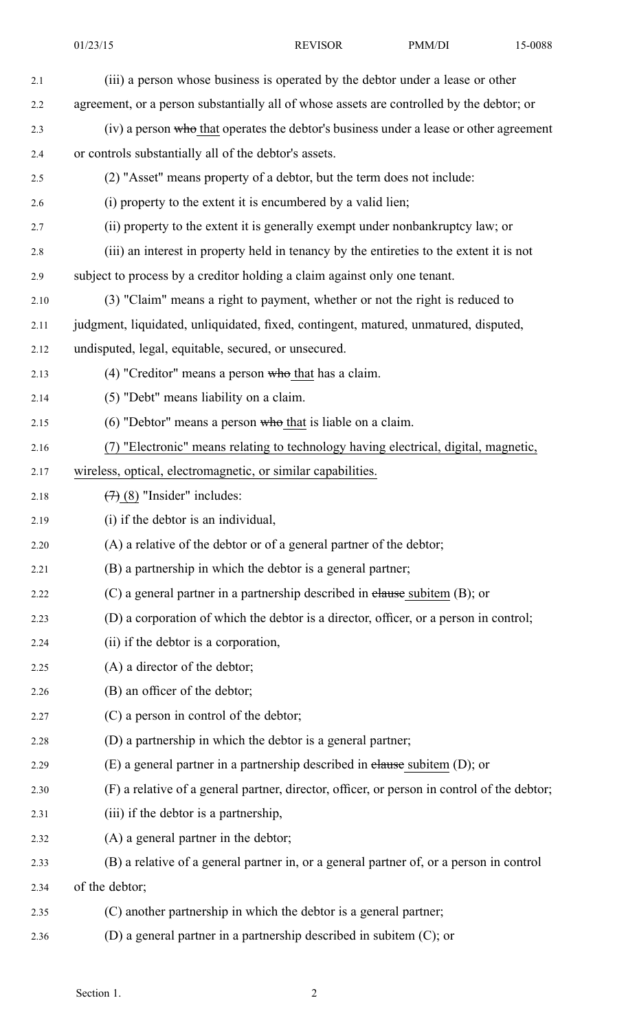01/23/15 REVISOR PMM/DI 15-0088

| 2.1  | (iii) a person whose business is operated by the debtor under a lease or other              |  |  |  |
|------|---------------------------------------------------------------------------------------------|--|--|--|
| 2.2  | agreement, or a person substantially all of whose assets are controlled by the debtor; or   |  |  |  |
| 2.3  | (iv) a person who that operates the debtor's business under a lease or other agreement      |  |  |  |
| 2.4  | or controls substantially all of the debtor's assets.                                       |  |  |  |
| 2.5  | (2) "Asset" means property of a debtor, but the term does not include:                      |  |  |  |
| 2.6  | (i) property to the extent it is encumbered by a valid lien;                                |  |  |  |
| 2.7  | (ii) property to the extent it is generally exempt under nonbankruptcy law; or              |  |  |  |
| 2.8  | (iii) an interest in property held in tenancy by the entireties to the extent it is not     |  |  |  |
| 2.9  | subject to process by a creditor holding a claim against only one tenant.                   |  |  |  |
| 2.10 | (3) "Claim" means a right to payment, whether or not the right is reduced to                |  |  |  |
| 2.11 | judgment, liquidated, unliquidated, fixed, contingent, matured, unmatured, disputed,        |  |  |  |
| 2.12 | undisputed, legal, equitable, secured, or unsecured.                                        |  |  |  |
| 2.13 | $(4)$ "Creditor" means a person who that has a claim.                                       |  |  |  |
| 2.14 | (5) "Debt" means liability on a claim.                                                      |  |  |  |
| 2.15 | $(6)$ "Debtor" means a person who that is liable on a claim.                                |  |  |  |
| 2.16 | (7) "Electronic" means relating to technology having electrical, digital, magnetic,         |  |  |  |
| 2.17 | wireless, optical, electromagnetic, or similar capabilities.                                |  |  |  |
| 2.18 | $(7)$ (8) "Insider" includes:                                                               |  |  |  |
| 2.19 | (i) if the debtor is an individual,                                                         |  |  |  |
| 2.20 | (A) a relative of the debtor or of a general partner of the debtor;                         |  |  |  |
| 2.21 | (B) a partnership in which the debtor is a general partner;                                 |  |  |  |
| 2.22 | (C) a general partner in a partnership described in elause subitem (B); or                  |  |  |  |
| 2.23 | (D) a corporation of which the debtor is a director, officer, or a person in control;       |  |  |  |
| 2.24 | (ii) if the debtor is a corporation,                                                        |  |  |  |
| 2.25 | (A) a director of the debtor;                                                               |  |  |  |
| 2.26 | (B) an officer of the debtor;                                                               |  |  |  |
| 2.27 | (C) a person in control of the debtor;                                                      |  |  |  |
| 2.28 | (D) a partnership in which the debtor is a general partner;                                 |  |  |  |
| 2.29 | $(E)$ a general partner in a partnership described in elause subitem $(D)$ ; or             |  |  |  |
| 2.30 | (F) a relative of a general partner, director, officer, or person in control of the debtor; |  |  |  |
| 2.31 | (iii) if the debtor is a partnership,                                                       |  |  |  |
| 2.32 | (A) a general partner in the debtor;                                                        |  |  |  |
| 2.33 | (B) a relative of a general partner in, or a general partner of, or a person in control     |  |  |  |
| 2.34 | of the debtor;                                                                              |  |  |  |
| 2.35 | (C) another partnership in which the debtor is a general partner;                           |  |  |  |
| 2.36 | (D) a general partner in a partnership described in subitem (C); or                         |  |  |  |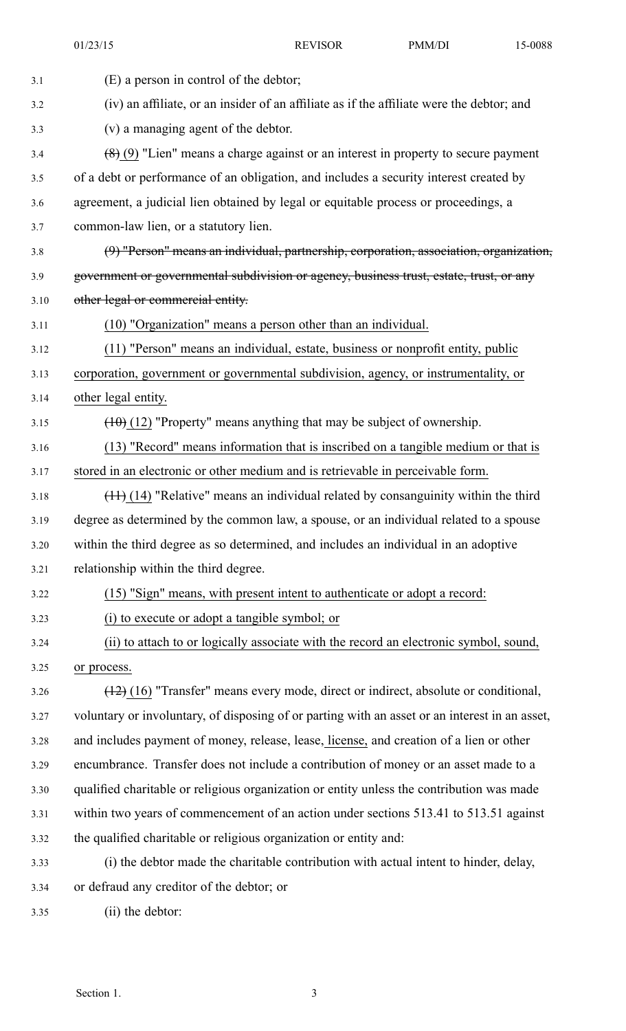01/23/15 REVISOR PMM/DI 15-0088

| 3.1  | (E) a person in control of the debtor;                                                         |  |  |  |
|------|------------------------------------------------------------------------------------------------|--|--|--|
| 3.2  | (iv) an affiliate, or an insider of an affiliate as if the affiliate were the debtor; and      |  |  |  |
| 3.3  | (v) a managing agent of the debtor.                                                            |  |  |  |
| 3.4  | $(8)$ (9) "Lien" means a charge against or an interest in property to secure payment           |  |  |  |
| 3.5  | of a debt or performance of an obligation, and includes a security interest created by         |  |  |  |
| 3.6  | agreement, a judicial lien obtained by legal or equitable process or proceedings, a            |  |  |  |
| 3.7  | common-law lien, or a statutory lien.                                                          |  |  |  |
| 3.8  | (9) "Person" means an individual, partnership, corporation, association, organization,         |  |  |  |
| 3.9  | government or governmental subdivision or agency, business trust, estate, trust, or any        |  |  |  |
| 3.10 | other legal or commercial entity.                                                              |  |  |  |
| 3.11 | (10) "Organization" means a person other than an individual.                                   |  |  |  |
| 3.12 | (11) "Person" means an individual, estate, business or nonprofit entity, public                |  |  |  |
| 3.13 | corporation, government or governmental subdivision, agency, or instrumentality, or            |  |  |  |
| 3.14 | other legal entity.                                                                            |  |  |  |
| 3.15 | $(10)(12)$ "Property" means anything that may be subject of ownership.                         |  |  |  |
| 3.16 | (13) "Record" means information that is inscribed on a tangible medium or that is              |  |  |  |
| 3.17 | stored in an electronic or other medium and is retrievable in perceivable form.                |  |  |  |
| 3.18 | $(11)$ (14) "Relative" means an individual related by consanguinity within the third           |  |  |  |
| 3.19 | degree as determined by the common law, a spouse, or an individual related to a spouse         |  |  |  |
| 3.20 | within the third degree as so determined, and includes an individual in an adoptive            |  |  |  |
| 3.21 | relationship within the third degree.                                                          |  |  |  |
| 3.22 | (15) "Sign" means, with present intent to authenticate or adopt a record:                      |  |  |  |
| 3.23 | (i) to execute or adopt a tangible symbol; or                                                  |  |  |  |
| 3.24 | (ii) to attach to or logically associate with the record an electronic symbol, sound,          |  |  |  |
| 3.25 | or process.                                                                                    |  |  |  |
| 3.26 | $(12)$ (16) "Transfer" means every mode, direct or indirect, absolute or conditional,          |  |  |  |
| 3.27 | voluntary or involuntary, of disposing of or parting with an asset or an interest in an asset, |  |  |  |
| 3.28 | and includes payment of money, release, lease, license, and creation of a lien or other        |  |  |  |
| 3.29 | encumbrance. Transfer does not include a contribution of money or an asset made to a           |  |  |  |
| 3.30 | qualified charitable or religious organization or entity unless the contribution was made      |  |  |  |
| 3.31 | within two years of commencement of an action under sections 513.41 to 513.51 against          |  |  |  |
| 3.32 | the qualified charitable or religious organization or entity and:                              |  |  |  |
| 3.33 | (i) the debtor made the charitable contribution with actual intent to hinder, delay,           |  |  |  |
| 3.34 | or defraud any creditor of the debtor; or                                                      |  |  |  |
| 3.35 | (ii) the debtor:                                                                               |  |  |  |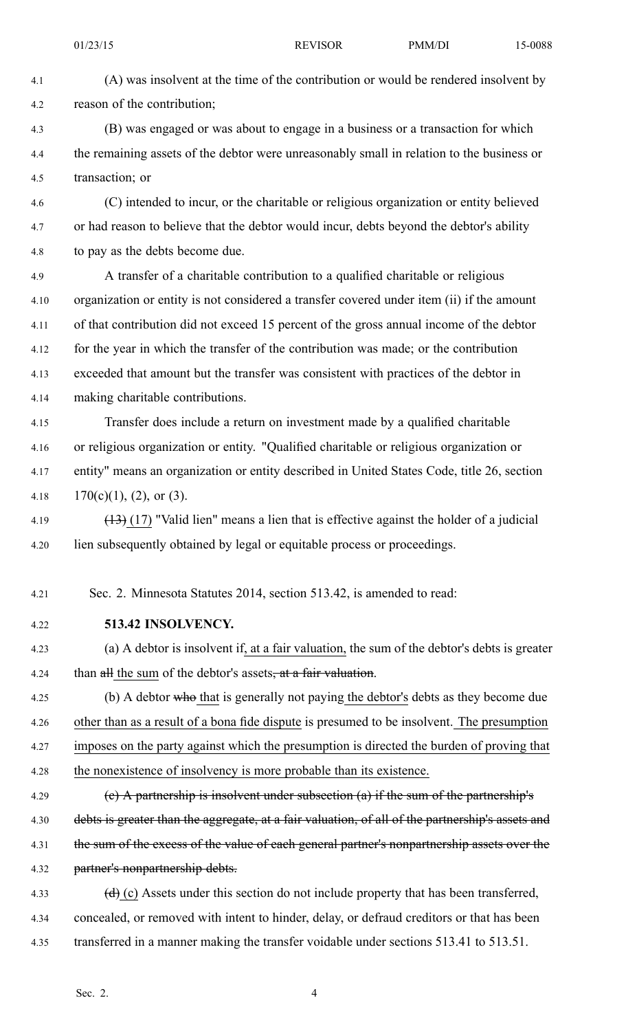4.1 (A) was insolvent at the time of the contribution or would be rendered insolvent by 4.2 reason of the contribution;

4.3 (B) was engaged or was about to engage in <sup>a</sup> business or <sup>a</sup> transaction for which 4.4 the remaining assets of the debtor were unreasonably small in relation to the business or 4.5 transaction; or

4.6 (C) intended to incur, or the charitable or religious organization or entity believed 4.7 or had reason to believe that the debtor would incur, debts beyond the debtor's ability 4.8 to pay as the debts become due.

4.9 A transfer of <sup>a</sup> charitable contribution to <sup>a</sup> qualified charitable or religious 4.10 organization or entity is not considered <sup>a</sup> transfer covered under item (ii) if the amount 4.11 of that contribution did not exceed 15 percen<sup>t</sup> of the gross annual income of the debtor 4.12 for the year in which the transfer of the contribution was made; or the contribution 4.13 exceeded that amount but the transfer was consistent with practices of the debtor in 4.14 making charitable contributions.

4.15 Transfer does include <sup>a</sup> return on investment made by <sup>a</sup> qualified charitable 4.16 or religious organization or entity. "Qualified charitable or religious organization or 4.17 entity" means an organization or entity described in United States Code, title 26, section 4.18 170(c)(1), (2), or (3).

4.19  $(13)$  (17) "Valid lien" means a lien that is effective against the holder of a judicial 4.20 lien subsequently obtained by legal or equitable process or proceedings.

4.21 Sec. 2. Minnesota Statutes 2014, section 513.42, is amended to read:

4.22 **513.42 INSOLVENCY.**

4.23 (a) A debtor is insolvent if, at <sup>a</sup> fair valuation, the sum of the debtor's debts is greater 4.24 than all the sum of the debtor's assets<del>, at a fair valuation</del>.

4.25 (b) A debtor who that is generally not paying the debtor's debts as they become due 4.26 other than as <sup>a</sup> result of <sup>a</sup> bona fide dispute is presumed to be insolvent. The presumption 4.27 imposes on the party against which the presumption is directed the burden of proving that 4.28 the nonexistence of insolvency is more probable than its existence.

4.29 (e) A partnership is insolvent under subsection (a) if the sum of the partnership's 4.30 debts is greater than the aggregate, at a fair valuation, of all of the partnership's assets and 4.31 the sum of the excess of the value of each general partner's nonpartnership assets over the 4.32 partner's nonpartnership debts.

4.33 (d) (c) Assets under this section do not include property that has been transferred, 4.34 concealed, or removed with intent to hinder, delay, or defraud creditors or that has been 4.35 transferred in <sup>a</sup> manner making the transfer voidable under sections 513.41 to 513.51.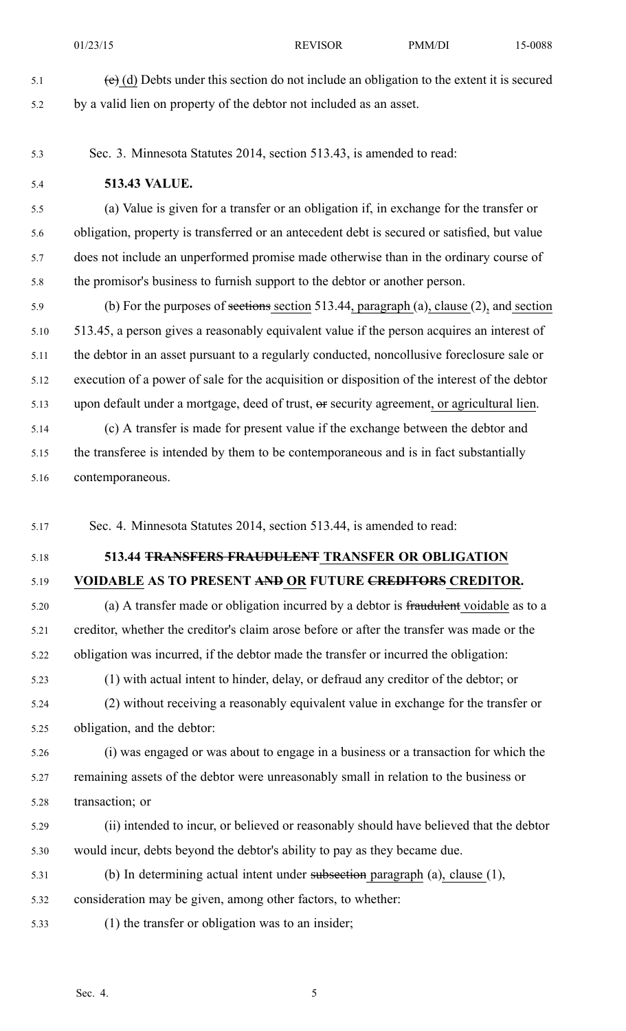- 
- 5.1 (e) (d) Debts under this section do not include an obligation to the extent it is secured 5.2 by <sup>a</sup> valid lien on property of the debtor not included as an asset.
- 5.3 Sec. 3. Minnesota Statutes 2014, section 513.43, is amended to read:
- 5.4 **513.43 VALUE.**

5.5 (a) Value is given for <sup>a</sup> transfer or an obligation if, in exchange for the transfer or 5.6 obligation, property is transferred or an antecedent debt is secured or satisfied, but value 5.7 does not include an unperformed promise made otherwise than in the ordinary course of 5.8 the promisor's business to furnish suppor<sup>t</sup> to the debtor or another person.

5.9 (b) For the purposes of sections section 513.44, paragraph (a), clause (2), and section 5.10 513.45, <sup>a</sup> person gives <sup>a</sup> reasonably equivalent value if the person acquires an interest of 5.11 the debtor in an asset pursuan<sup>t</sup> to <sup>a</sup> regularly conducted, noncollusive foreclosure sale or 5.12 execution of <sup>a</sup> power of sale for the acquisition or disposition of the interest of the debtor 5.13 upon default under <sup>a</sup> mortgage, deed of trust, or security agreement, or agricultural lien.

5.14 (c) A transfer is made for presen<sup>t</sup> value if the exchange between the debtor and 5.15 the transferee is intended by them to be contemporaneous and is in fact substantially 5.16 contemporaneous.

5.17 Sec. 4. Minnesota Statutes 2014, section 513.44, is amended to read:

## 5.18 **513.44 TRANSFERS FRAUDULENT TRANSFER OR OBLIGATION**

## 5.19 **VOIDABLE AS TO PRESENT AND OR FUTURE CREDITORS CREDITOR.**

5.20 (a) A transfer made or obligation incurred by <sup>a</sup> debtor is fraudulent voidable as to <sup>a</sup> 5.21 creditor, whether the creditor's claim arose before or after the transfer was made or the 5.22 obligation was incurred, if the debtor made the transfer or incurred the obligation:

5.23 (1) with actual intent to hinder, delay, or defraud any creditor of the debtor; or 5.24 (2) without receiving <sup>a</sup> reasonably equivalent value in exchange for the transfer or 5.25 obligation, and the debtor:

5.26 (i) was engaged or was about to engage in <sup>a</sup> business or <sup>a</sup> transaction for which the 5.27 remaining assets of the debtor were unreasonably small in relation to the business or 5.28 transaction; or

- 5.29 (ii) intended to incur, or believed or reasonably should have believed that the debtor 5.30 would incur, debts beyond the debtor's ability to pay as they became due.
- 5.31 (b) In determining actual intent under subsection paragraph (a), clause (1),
- 5.32 consideration may be given, among other factors, to whether:
- 5.33 (1) the transfer or obligation was to an insider;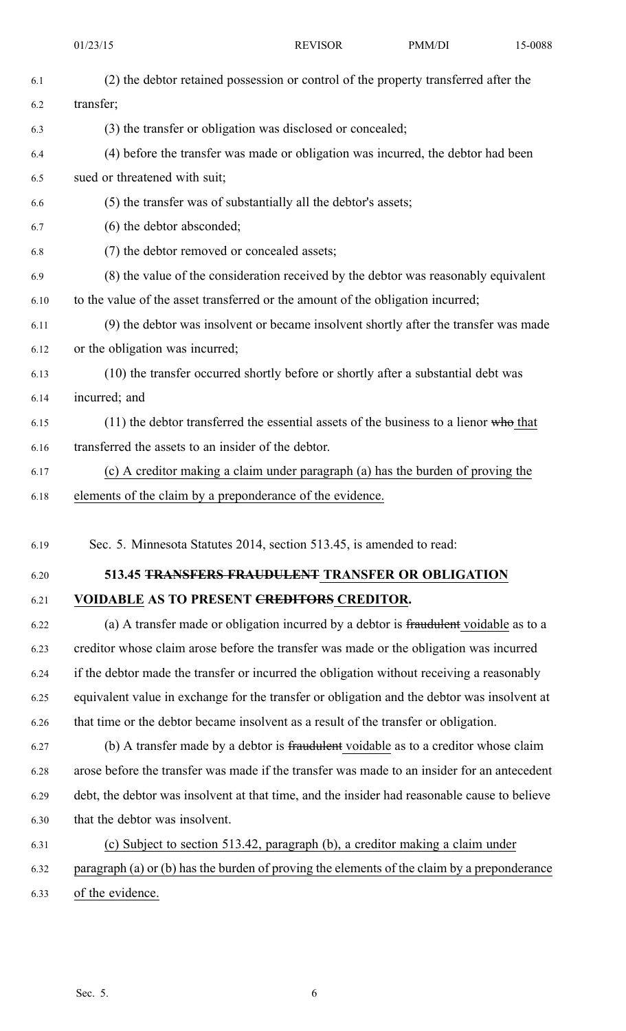01/23/15 **REVISOR PMM/DI** 15-0088 6.1 (2) the debtor retained possession or control of the property transferred after the 6.2 transfer; 6.3 (3) the transfer or obligation was disclosed or concealed; 6.4 (4) before the transfer was made or obligation was incurred, the debtor had been 6.5 sued or threatened with suit; 6.6 (5) the transfer was of substantially all the debtor's assets; 6.7 (6) the debtor absconded; 6.8 (7) the debtor removed or concealed assets; 6.9 (8) the value of the consideration received by the debtor was reasonably equivalent 6.10 to the value of the asset transferred or the amount of the obligation incurred; 6.11 (9) the debtor was insolvent or became insolvent shortly after the transfer was made 6.12 or the obligation was incurred; 6.13 (10) the transfer occurred shortly before or shortly after <sup>a</sup> substantial debt was 6.14 incurred; and 6.15 (11) the debtor transferred the essential assets of the business to <sup>a</sup> lienor who that 6.16 transferred the assets to an insider of the debtor. 6.17 (c) A creditor making <sup>a</sup> claim under paragraph (a) has the burden of proving the 6.18 elements of the claim by <sup>a</sup> preponderance of the evidence. 6.19 Sec. 5. Minnesota Statutes 2014, section 513.45, is amended to read: 6.20 **513.45 TRANSFERS FRAUDULENT TRANSFER OR OBLIGATION** 6.21 **VOIDABLE AS TO PRESENT CREDITORS CREDITOR.** 6.22 (a) A transfer made or obligation incurred by <sup>a</sup> debtor is fraudulent voidable as to <sup>a</sup> 6.23 creditor whose claim arose before the transfer was made or the obligation was incurred 6.24 if the debtor made the transfer or incurred the obligation without receiving <sup>a</sup> reasonably 6.25 equivalent value in exchange for the transfer or obligation and the debtor was insolvent at 6.26 that time or the debtor became insolvent as <sup>a</sup> result of the transfer or obligation. 6.27 (b) A transfer made by <sup>a</sup> debtor is fraudulent voidable as to <sup>a</sup> creditor whose claim 6.28 arose before the transfer was made if the transfer was made to an insider for an antecedent 6.29 debt, the debtor was insolvent at that time, and the insider had reasonable cause to believe 6.30 that the debtor was insolvent. 6.31 (c) Subject to section 513.42, paragraph (b), <sup>a</sup> creditor making <sup>a</sup> claim under 6.32 paragraph (a) or (b) has the burden of proving the elements of the claim by <sup>a</sup> preponderance 6.33 of the evidence.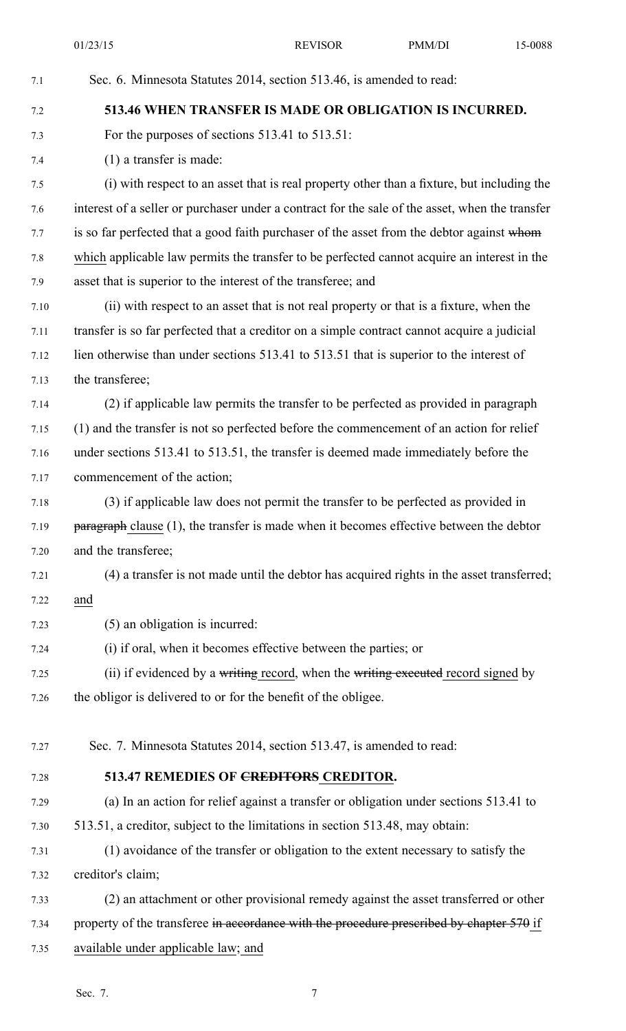01/23/15 **REVISOR PMM/DI** 15-0088 7.1 Sec. 6. Minnesota Statutes 2014, section 513.46, is amended to read: 7.2 **513.46 WHEN TRANSFER IS MADE OR OBLIGATION IS INCURRED.** 7.3 For the purposes of sections 513.41 to 513.51: 7.4 (1) <sup>a</sup> transfer is made: 7.5 (i) with respec<sup>t</sup> to an asset that is real property other than <sup>a</sup> fixture, but including the 7.6 interest of <sup>a</sup> seller or purchaser under <sup>a</sup> contract for the sale of the asset, when the transfer 7.7 is so far perfected that a good faith purchaser of the asset from the debtor against whom 7.8 which applicable law permits the transfer to be perfected cannot acquire an interest in the 7.9 asset that is superior to the interest of the transferee; and 7.10 (ii) with respec<sup>t</sup> to an asset that is not real property or that is <sup>a</sup> fixture, when the 7.11 transfer is so far perfected that <sup>a</sup> creditor on <sup>a</sup> simple contract cannot acquire <sup>a</sup> judicial 7.12 lien otherwise than under sections 513.41 to 513.51 that is superior to the interest of 7.13 the transferee; 7.14 (2) if applicable law permits the transfer to be perfected as provided in paragraph 7.15 (1) and the transfer is not so perfected before the commencement of an action for relief 7.16 under sections 513.41 to 513.51, the transfer is deemed made immediately before the 7.17 commencement of the action; 7.18 (3) if applicable law does not permit the transfer to be perfected as provided in 7.19 paragraph clause (1), the transfer is made when it becomes effective between the debtor 7.20 and the transferee; 7.21 (4) <sup>a</sup> transfer is not made until the debtor has acquired rights in the asset transferred; 7.22 and 7.23 (5) an obligation is incurred: 7.24 (i) if oral, when it becomes effective between the parties; or 7.25 (ii) if evidenced by a writing record, when the writing executed record signed by 7.26 the obligor is delivered to or for the benefit of the obligee. 7.27 Sec. 7. Minnesota Statutes 2014, section 513.47, is amended to read: 7.28 **513.47 REMEDIES OF CREDITORS CREDITOR.** 7.29 (a) In an action for relief against <sup>a</sup> transfer or obligation under sections 513.41 to 7.30 513.51, <sup>a</sup> creditor, subject to the limitations in section 513.48, may obtain: 7.31 (1) avoidance of the transfer or obligation to the extent necessary to satisfy the 7.32 creditor's claim; 7.33 (2) an attachment or other provisional remedy against the asset transferred or other 7.34 property of the transferee in accordance with the procedure prescribed by chapter 570 if 7.35 available under applicable law; and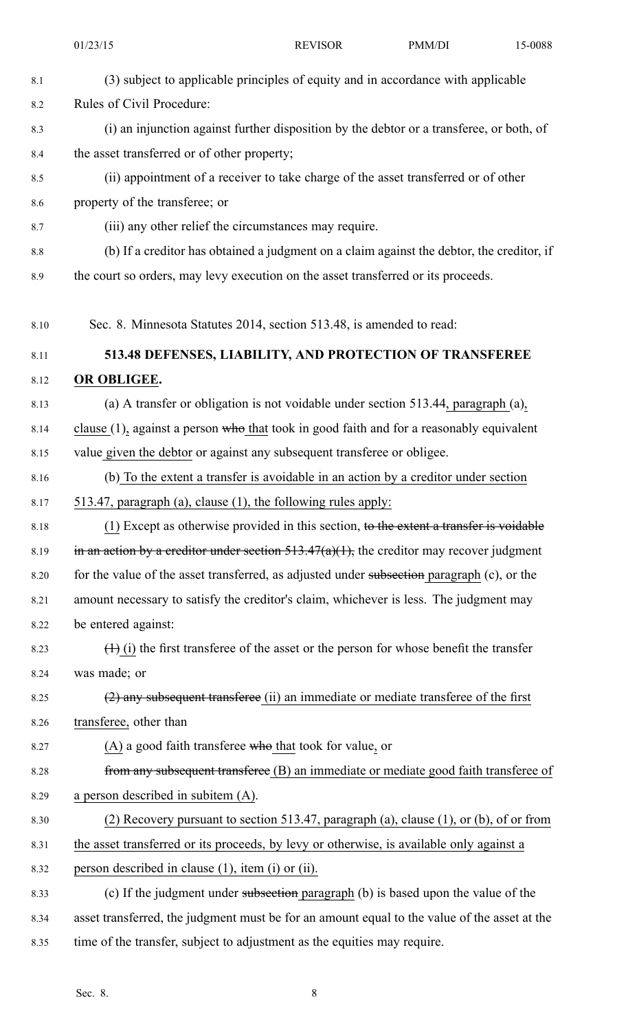|         | 01/23/15                                                                                     | <b>REVISOR</b>                                                                           | PMM/DI | 15-0088 |
|---------|----------------------------------------------------------------------------------------------|------------------------------------------------------------------------------------------|--------|---------|
| 8.1     | (3) subject to applicable principles of equity and in accordance with applicable             |                                                                                          |        |         |
| 8.2     | Rules of Civil Procedure:                                                                    |                                                                                          |        |         |
| 8.3     |                                                                                              | (i) an injunction against further disposition by the debtor or a transferee, or both, of |        |         |
| 8.4     |                                                                                              | the asset transferred or of other property;                                              |        |         |
| 8.5     | (ii) appointment of a receiver to take charge of the asset transferred or of other           |                                                                                          |        |         |
| 8.6     | property of the transferee; or                                                               |                                                                                          |        |         |
| 8.7     | (iii) any other relief the circumstances may require.                                        |                                                                                          |        |         |
| $8.8\,$ | (b) If a creditor has obtained a judgment on a claim against the debtor, the creditor, if    |                                                                                          |        |         |
| 8.9     | the court so orders, may levy execution on the asset transferred or its proceeds.            |                                                                                          |        |         |
| 8.10    | Sec. 8. Minnesota Statutes 2014, section 513.48, is amended to read:                         |                                                                                          |        |         |
| 8.11    | 513.48 DEFENSES, LIABILITY, AND PROTECTION OF TRANSFEREE                                     |                                                                                          |        |         |
| 8.12    | OR OBLIGEE.                                                                                  |                                                                                          |        |         |
| 8.13    | (a) A transfer or obligation is not voidable under section 513.44, paragraph (a),            |                                                                                          |        |         |
| 8.14    | clause $(1)$ , against a person who that took in good faith and for a reasonably equivalent  |                                                                                          |        |         |
| 8.15    | value given the debtor or against any subsequent transferee or obligee.                      |                                                                                          |        |         |
| 8.16    | (b) To the extent a transfer is avoidable in an action by a creditor under section           |                                                                                          |        |         |
| 8.17    | 513.47, paragraph (a), clause (1), the following rules apply:                                |                                                                                          |        |         |
| 8.18    | $(1)$ Except as otherwise provided in this section, to the extent a transfer is voidable     |                                                                                          |        |         |
| 8.19    | in an action by a creditor under section $513.47(a)(1)$ , the creditor may recover judgment  |                                                                                          |        |         |
| 8.20    | for the value of the asset transferred, as adjusted under subsection paragraph (c), or the   |                                                                                          |        |         |
| 8.21    | amount necessary to satisfy the creditor's claim, whichever is less. The judgment may        |                                                                                          |        |         |
| 8.22    | be entered against:                                                                          |                                                                                          |        |         |
| 8.23    | $(1)$ (i) the first transferee of the asset or the person for whose benefit the transfer     |                                                                                          |        |         |
| 8.24    | was made; or                                                                                 |                                                                                          |        |         |
| 8.25    | $(2)$ any subsequent transferee (ii) an immediate or mediate transferee of the first         |                                                                                          |        |         |
| 8.26    | transferee, other than                                                                       |                                                                                          |        |         |
| 8.27    | $(A)$ a good faith transferee who that took for value, or                                    |                                                                                          |        |         |
| 8.28    | from any subsequent transferee (B) an immediate or mediate good faith transferee of          |                                                                                          |        |         |
| 8.29    | a person described in subitem (A).                                                           |                                                                                          |        |         |
| 8.30    | (2) Recovery pursuant to section 513.47, paragraph (a), clause $(1)$ , or $(b)$ , of or from |                                                                                          |        |         |
| 8.31    | the asset transferred or its proceeds, by levy or otherwise, is available only against a     |                                                                                          |        |         |
| 8.32    | person described in clause (1), item (i) or (ii).                                            |                                                                                          |        |         |
| 8.33    | (c) If the judgment under subsection paragraph (b) is based upon the value of the            |                                                                                          |        |         |
| 8.34    | asset transferred, the judgment must be for an amount equal to the value of the asset at the |                                                                                          |        |         |
| 8.35    | time of the transfer, subject to adjustment as the equities may require.                     |                                                                                          |        |         |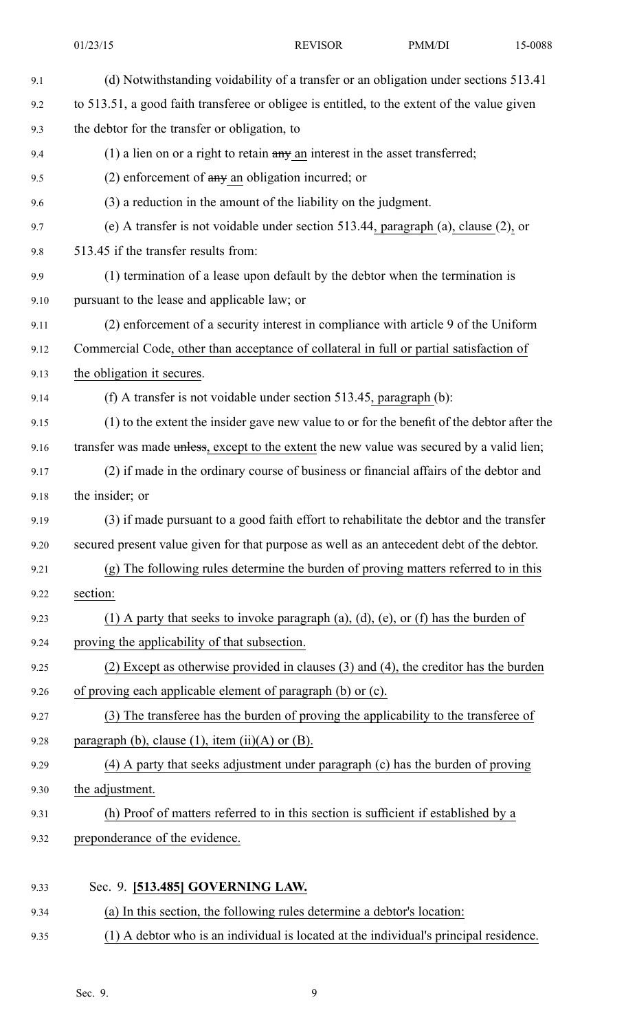| (d) Notwithstanding voidability of a transfer or an obligation under sections 513.41        |  |  |
|---------------------------------------------------------------------------------------------|--|--|
| to 513.51, a good faith transferee or obligee is entitled, to the extent of the value given |  |  |
| the debtor for the transfer or obligation, to                                               |  |  |
| $(1)$ a lien on or a right to retain $a$ ny an interest in the asset transferred;           |  |  |
| $(2)$ enforcement of any an obligation incurred; or                                         |  |  |
| (3) a reduction in the amount of the liability on the judgment.                             |  |  |
| (e) A transfer is not voidable under section 513.44, paragraph (a), clause $(2)$ , or       |  |  |
| 513.45 if the transfer results from:                                                        |  |  |
| (1) termination of a lease upon default by the debtor when the termination is               |  |  |
| pursuant to the lease and applicable law; or                                                |  |  |
| (2) enforcement of a security interest in compliance with article 9 of the Uniform          |  |  |
| Commercial Code, other than acceptance of collateral in full or partial satisfaction of     |  |  |
| the obligation it secures.                                                                  |  |  |
| (f) A transfer is not voidable under section 513.45, paragraph (b):                         |  |  |
| (1) to the extent the insider gave new value to or for the benefit of the debtor after the  |  |  |
| transfer was made unless, except to the extent the new value was secured by a valid lien;   |  |  |
| (2) if made in the ordinary course of business or financial affairs of the debtor and       |  |  |
| the insider; or                                                                             |  |  |
| (3) if made pursuant to a good faith effort to rehabilitate the debtor and the transfer     |  |  |
| secured present value given for that purpose as well as an antecedent debt of the debtor.   |  |  |
| (g) The following rules determine the burden of proving matters referred to in this         |  |  |
| section:                                                                                    |  |  |
| (1) A party that seeks to invoke paragraph (a), (d), (e), or (f) has the burden of          |  |  |
| proving the applicability of that subsection.                                               |  |  |
| $(2)$ Except as otherwise provided in clauses $(3)$ and $(4)$ , the creditor has the burden |  |  |
| of proving each applicable element of paragraph (b) or (c).                                 |  |  |
| (3) The transferee has the burden of proving the applicability to the transferee of         |  |  |
| paragraph (b), clause (1), item (ii)(A) or (B).                                             |  |  |
| (4) A party that seeks adjustment under paragraph (c) has the burden of proving             |  |  |
| the adjustment.                                                                             |  |  |
| (h) Proof of matters referred to in this section is sufficient if established by a          |  |  |
| preponderance of the evidence.                                                              |  |  |

9.34 (a) In this section, the following rules determine <sup>a</sup> debtor's location: 9.35 (1) A debtor who is an individual is located at the individual's principal residence.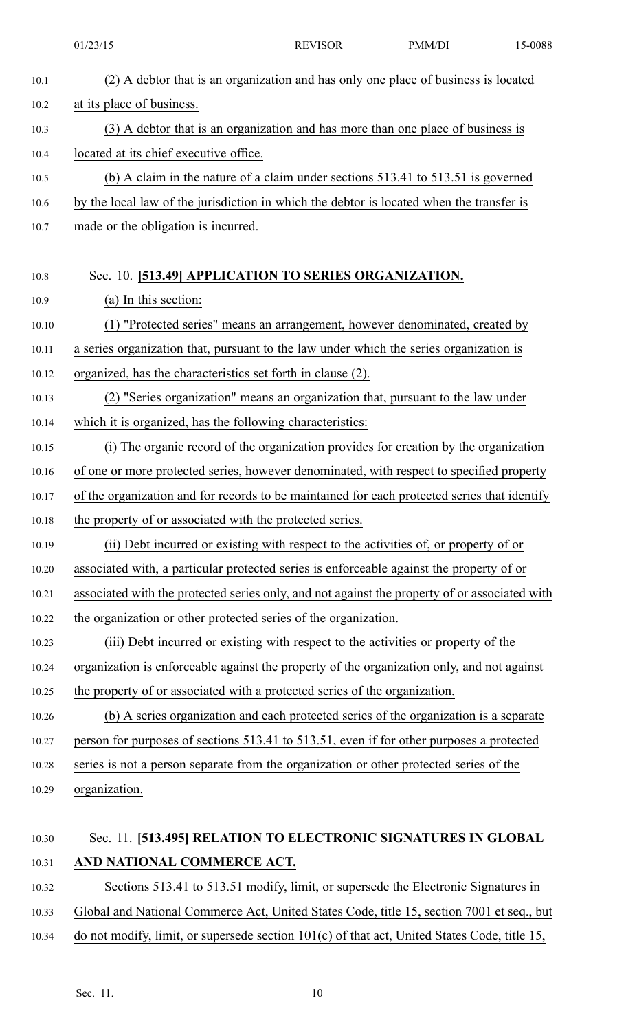|       | 01/23/15                                                                                      | <b>REVISOR</b> | PMM/DI | 15-0088 |
|-------|-----------------------------------------------------------------------------------------------|----------------|--------|---------|
| 10.1  | (2) A debtor that is an organization and has only one place of business is located            |                |        |         |
| 10.2  | at its place of business.                                                                     |                |        |         |
| 10.3  | (3) A debtor that is an organization and has more than one place of business is               |                |        |         |
| 10.4  | located at its chief executive office.                                                        |                |        |         |
| 10.5  | (b) A claim in the nature of a claim under sections $513.41$ to $513.51$ is governed          |                |        |         |
| 10.6  | by the local law of the jurisdiction in which the debtor is located when the transfer is      |                |        |         |
| 10.7  | made or the obligation is incurred.                                                           |                |        |         |
| 10.8  | Sec. 10. [513.49] APPLICATION TO SERIES ORGANIZATION.                                         |                |        |         |
| 10.9  | (a) In this section:                                                                          |                |        |         |
| 10.10 | (1) "Protected series" means an arrangement, however denominated, created by                  |                |        |         |
| 10.11 | a series organization that, pursuant to the law under which the series organization is        |                |        |         |
| 10.12 | organized, has the characteristics set forth in clause (2).                                   |                |        |         |
| 10.13 | (2) "Series organization" means an organization that, pursuant to the law under               |                |        |         |
| 10.14 | which it is organized, has the following characteristics:                                     |                |        |         |
| 10.15 | (i) The organic record of the organization provides for creation by the organization          |                |        |         |
| 10.16 | of one or more protected series, however denominated, with respect to specified property      |                |        |         |
| 10.17 | of the organization and for records to be maintained for each protected series that identify  |                |        |         |
| 10.18 | the property of or associated with the protected series.                                      |                |        |         |
| 10.19 | (ii) Debt incurred or existing with respect to the activities of, or property of or           |                |        |         |
| 10.20 | associated with, a particular protected series is enforceable against the property of or      |                |        |         |
| 10.21 | associated with the protected series only, and not against the property of or associated with |                |        |         |
| 10.22 | the organization or other protected series of the organization.                               |                |        |         |
| 10.23 | (iii) Debt incurred or existing with respect to the activities or property of the             |                |        |         |
| 10.24 | organization is enforceable against the property of the organization only, and not against    |                |        |         |
| 10.25 | the property of or associated with a protected series of the organization.                    |                |        |         |
| 10.26 | (b) A series organization and each protected series of the organization is a separate         |                |        |         |
| 10.27 | person for purposes of sections 513.41 to 513.51, even if for other purposes a protected      |                |        |         |
| 10.28 | series is not a person separate from the organization or other protected series of the        |                |        |         |
| 10.29 | organization.                                                                                 |                |        |         |
| 10.30 | Sec. 11. [513.495] RELATION TO ELECTRONIC SIGNATURES IN GLOBAL                                |                |        |         |

## 10.31 **AND NATIONAL COMMERCE ACT.**

- 10.32 Sections 513.41 to 513.51 modify, limit, or supersede the Electronic Signatures in
- 10.33 Global and National Commerce Act, United States Code, title 15, section 7001 et seq., but